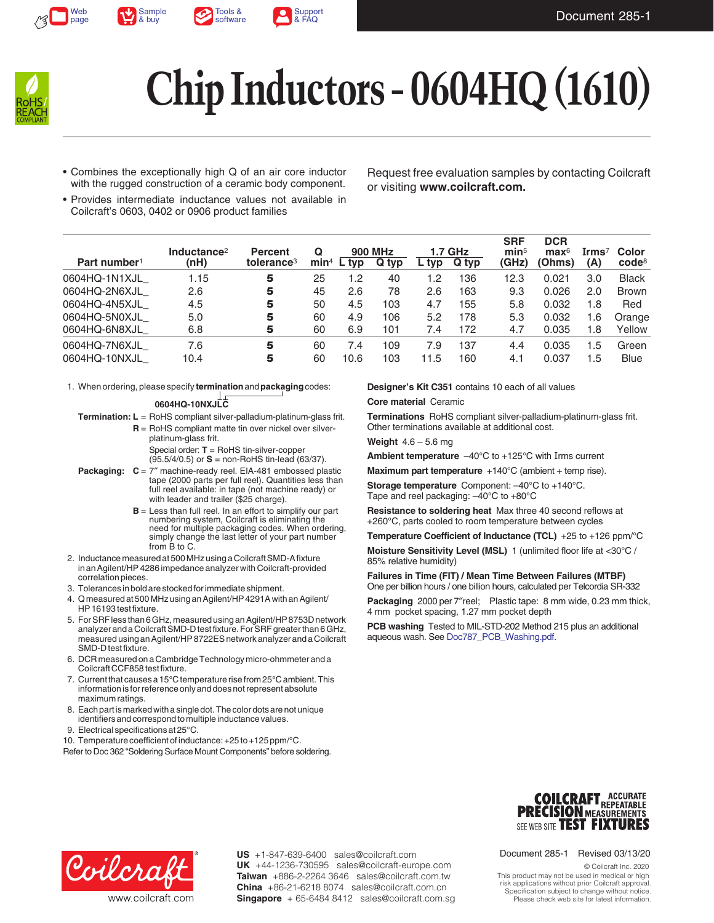







# **Chip Inductors - 0604HQ (1610)**

- Combines the exceptionally high Q of an air core inductor with the rugged construction of a ceramic body component.
- Provides intermediate inductance values not available in Coilcraft's 0603, 0402 or 0906 product families

Request free evaluation samples by contacting Coilcraft or visiting **www.coilcraft.com.**

| Inductance <sup>2</sup> | <b>Percent</b>         | Q  | <b>900 MHz</b> |                  | 1.7 GHz |       | <b>SRF</b><br>min <sub>5</sub> | <b>DCR</b><br>$\mathbf{max}^6$ | $\mathbf{I}$ rms <sup>7</sup> | Color        |
|-------------------------|------------------------|----|----------------|------------------|---------|-------|--------------------------------|--------------------------------|-------------------------------|--------------|
| (nH)                    | tolerance <sup>3</sup> |    | L typ          | Q typ            | typ     | Q typ | (GHz)                          | (Ohms)                         | (A)                           | $code^8$     |
| 1.15                    | 5                      | 25 | 2. ا           | 40               | 1.2     | 136   | 12.3                           | 0.021                          | 3.0                           | <b>Black</b> |
| 2.6                     | 5                      | 45 | 2.6            | 78               | 2.6     | 163   | 9.3                            | 0.026                          | 2.0                           | <b>Brown</b> |
| 4.5                     | 5                      | 50 | 4.5            | 103              | 4.7     | 155   | 5.8                            | 0.032                          | 1.8                           | Red          |
| 5.0                     | 5                      | 60 | 4.9            | 106              | 5.2     | 178   | 5.3                            | 0.032                          | 1.6                           | Orange       |
| 6.8                     | 5                      | 60 | 6.9            | 101              | 7.4     | 172   | 4.7                            | 0.035                          | 1.8                           | Yellow       |
| 7.6                     | 5                      | 60 | 7.4            | 109              | 7.9     | 137   | 4.4                            | 0.035                          | 1.5                           | Green        |
| 10.4                    | 5                      | 60 | 10.6           | 103              | 11.5    | 160   | 4.1                            | 0.037                          | 1.5                           | Blue         |
|                         |                        |    |                | min <sup>4</sup> |         |       |                                |                                |                               |              |

1. When ordering, please specify **termination** and **packaging** codes:

#### **0604HQ-10NXJLC**

- **Termination: L** = RoHS compliant silver-palladium-platinum-glass frit. **R** = RoHS compliant matte tin over nickel over silverplatinum-glass frit. Special order: **T** = RoHS tin-silver-copper (95.5/4/0.5) or **S** = non-RoHS tin-lead (63/37).
- **Packaging: C** = 7″ machine-ready reel. EIA-481 embossed plastic tape (2000 parts per full reel). Quantities less than full reel available: in tape (not machine ready) or with leader and trailer (\$25 charge).
	- **B** = Less than full reel. In an effort to simplify our part numbering system, Coilcraft is eliminating the need for multiple packaging codes. When ordering, simply change the last letter of your part number from B to C.
- 2. Inductance measured at 500 MHz using a Coilcraft SMD-A fixture in an Agilent/HP4286 impedance analyzer with Coilcraft-provided correlation pieces.
- 3. Tolerances in bold are stocked for immediate shipment.
- 4. Q measured at 500 MHz using an Agilent/HP4291A with an Agilent/ HP16193 test fixture.
- 5. For SRF less than 6 GHz, measured using an Agilent/HP8753D network analyzer and a Coilcraft SMD-D test fixture. For SRF greater than 6GHz, measured using an Agilent/HP8722ES network analyzer and a Coilcraft SMD-D test fixture.
- 6. DCR measured on a Cambridge Technology micro-ohmmeter and a Coilcraft CCF858 test fixture.
- 7. Current that causes a 15°C temperature rise from 25°C ambient. This information is for reference only and does not represent absolute maximum ratings.
- 8. Each part is marked with a single dot. The color dots are not unique identifiers and correspond to multiple inductance values.
- 9. Electrical specifications at 25°C.
- 10. Temperature coefficient of inductance: +25 to +125 ppm/°C.

Refer to Doc 362 "Soldering Surface Mount Components" before soldering.

**Designer's Kit C351** contains 10 each of all values **Core material** Ceramic

**Terminations** RoHS compliant silver-palladium-platinum-glass frit. Other terminations available at additional cost.

#### **Weight** 4.6 – 5.6 mg

**Ambient temperature** –40°C to +125°C with Irms current

**Maximum part temperature** +140°C (ambient + temp rise).

**Storage temperature** Component: –40°C to +140°C. Tape and reel packaging: –40°C to +80°C

**Resistance to soldering heat** Max three 40 second reflows at +260°C, parts cooled to room temperature between cycles

**Temperature Coefficient of Inductance (TCL)** +25 to +126 ppm/°C

**Moisture Sensitivity Level (MSL)** 1 (unlimited floor life at <30°C / 85% relative humidity)

**Failures in Time (FIT) / Mean Time Between Failures (MTBF)** One per billion hours / one billion hours, calculated per Telcordia SR-332

**Packaging** 2000 per 7″reel; Plastic tape: 8 mm wide, 0.23 mm thick, 4 mm pocket spacing, 1.27 mm pocket depth

**PCB washing** Tested to MIL-STD-202 Method 215 plus an additional aqueous wash. See [Doc787\\_PCB\\_Washing.pdf](http://www.coilcraft.com/pdfs/Doc787_PCB_Washing.pdf).



**US** +1-847-639-6400 sales@coilcraft.com +44-1236-730595 sales@coilcraft-europe.com **UK** +886-2-2264 3646 sales@coilcraft.com.tw **Taiwan** +86-21-6218 8074 sales@coilcraft.com.cn **China** Singapore + 65-6484 8412 sales@coilcraft.com.sg



Document 285-1 Revised 03/13/20

© Coilcraft Inc. 2020

This product may not be used in medical or high risk applications without prior Coilcraft approval. Specification subject to change without notice. Please check web site for latest information.